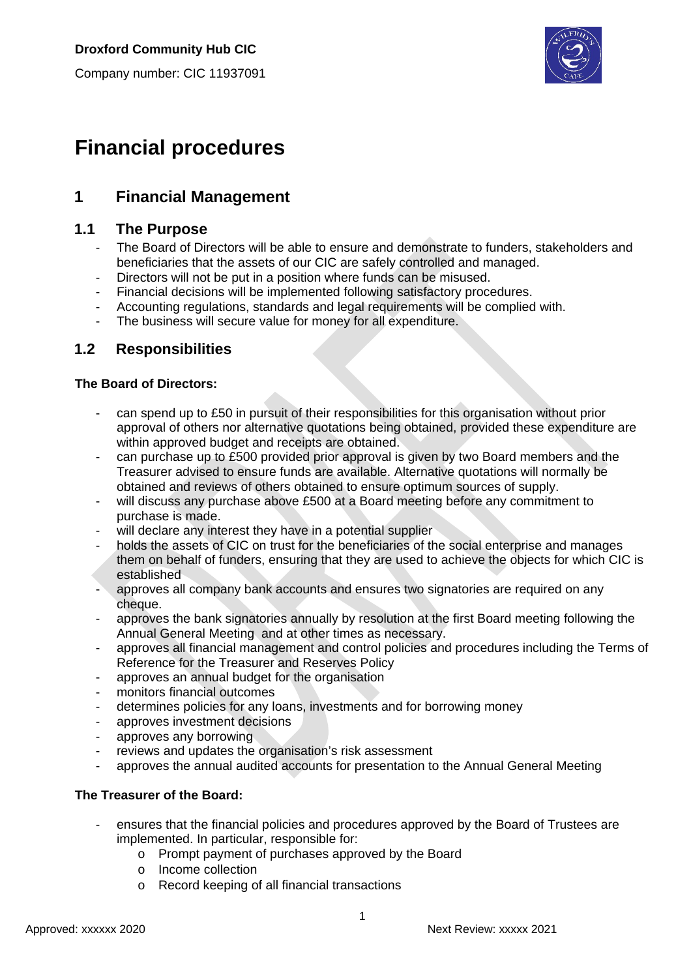Company number: CIC 11937091



# **Financial procedures**

## **1 Financial Management**

## **1.1 The Purpose**

- The Board of Directors will be able to ensure and demonstrate to funders, stakeholders and beneficiaries that the assets of our CIC are safely controlled and managed.
- Directors will not be put in a position where funds can be misused.
- Financial decisions will be implemented following satisfactory procedures.
- Accounting regulations, standards and legal requirements will be complied with.
- The business will secure value for money for all expenditure.

## **1.2 Responsibilities**

#### **The Board of Directors:**

- can spend up to £50 in pursuit of their responsibilities for this organisation without prior approval of others nor alternative quotations being obtained, provided these expenditure are within approved budget and receipts are obtained.
- can purchase up to £500 provided prior approval is given by two Board members and the Treasurer advised to ensure funds are available. Alternative quotations will normally be obtained and reviews of others obtained to ensure optimum sources of supply.
- will discuss any purchase above £500 at a Board meeting before any commitment to purchase is made.
- will declare any interest they have in a potential supplier
- holds the assets of CIC on trust for the beneficiaries of the social enterprise and manages them on behalf of funders, ensuring that they are used to achieve the objects for which CIC is established
- approves all company bank accounts and ensures two signatories are required on any cheque.
- approves the bank signatories annually by resolution at the first Board meeting following the Annual General Meeting and at other times as necessary.
- approves all financial management and control policies and procedures including the Terms of Reference for the Treasurer and Reserves Policy
- approves an annual budget for the organisation
- monitors financial outcomes
- determines policies for any loans, investments and for borrowing money
- approves investment decisions
- approves any borrowing
- reviews and updates the organisation's risk assessment
- approves the annual audited accounts for presentation to the Annual General Meeting

### **The Treasurer of the Board:**

- ensures that the financial policies and procedures approved by the Board of Trustees are implemented. In particular, responsible for:
	- o Prompt payment of purchases approved by the Board
	- o Income collection
	- o Record keeping of all financial transactions